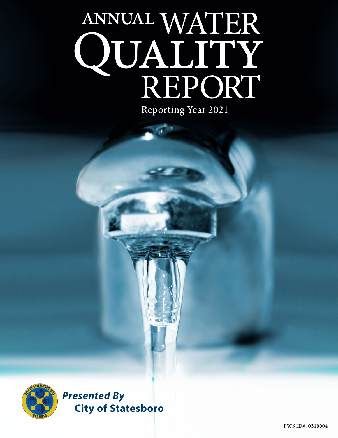# ANNUAL WATER<br>QUALITY<br>REPORT Reporting Year 2021



*Presented By* **City of Statesboro**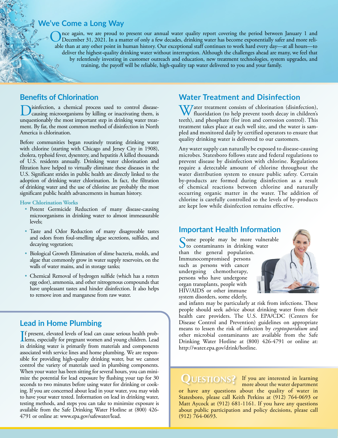## **We've Come a Long Way**

Once again, we are proud to present our annual water quality report covering the period between January 1 and<br>December 31, 2021. In a matter of only a few decades, drinking water has become exponentially safer and more rel able than at any other point in human history. Our exceptional staff continues to work hard every day—at all hours—to deliver the highest-quality drinking water without interruption. Although the challenges ahead are many, we feel that by relentlessly investing in customer outreach and education, new treatment technologies, system upgrades, and training, the payoff will be reliable, high-quality tap water delivered to you and your family.

## **Benefits of Chlorination**

Disinfection, a chemical process used to control disease-causing microorganisms by killing or inactivating them, is unquestionably the most important step in drinking water treatment. By far, the most common method of disinfection in North America is chlorination.

Before communities began routinely treating drinking water with chlorine (starting with Chicago and Jersey City in 1908), cholera, typhoid fever, dysentery, and hepatitis A killed thousands of U.S. residents annually. Drinking water chlorination and filtration have helped to virtually eliminate these diseases in the U.S. Significant strides in public health are directly linked to the adoption of drinking water chlorination. In fact, the filtration of drinking water and the use of chlorine are probably the most significant public health advancements in human history.

#### **How Chlorination Works**

- Potent Germicide Reduction of many disease-causing microorganisms in drinking water to almost immeasurable levels;
- Taste and Odor Reduction of many disagreeable tastes and odors from foul-smelling algae secretions, sulfides, and decaying vegetation;
- Biological Growth Elimination of slime bacteria, molds, and algae that commonly grow in water supply reservoirs, on the walls of water mains, and in storage tanks;
- Chemical Removal of hydrogen sulfide (which has a rotten egg odor), ammonia, and other nitrogenous compounds that have unpleasant tastes and hinder disinfection. It also helps to remove iron and manganese from raw water.

# **Lead in Home Plumbing**

If present, elevated levels of lead can cause serious health prob-<br>lems, especially for pregnant women and young children. Lead f present, elevated levels of lead can cause serious health probin drinking water is primarily from materials and components associated with service lines and home plumbing. We are responsible for providing high-quality drinking water, but we cannot control the variety of materials used in plumbing components. When your water has been sitting for several hours, you can minimize the potential for lead exposure by flushing your tap for 30 seconds to two minutes before using water for drinking or cooking. If you are concerned about lead in your water, you may wish to have your water tested. Information on lead in drinking water, testing methods, and steps you can take to minimize exposure is available from the Safe Drinking Water Hotline at (800) 426- 4791 or online at: [www.epa.gov/safewater/lead.](http://www.epa.gov/safewater/lead)

## **Water Treatment and Disinfection**

Water treatment consists of chlorination (disinfection),<br>fluoridation (to help prevent tooth decay in children's teeth), and phosphate (for iron and corrosion control). This treatment takes place at each well site, and the water is sampled and monitored daily by certified operators to ensure that quality drinking water is delivered to our customers.

Any water supply can naturally be exposed to disease-causing microbes. Statesboro follows state and federal regulations to prevent disease by disinfection with chlorine. Regulations require a detectable amount of chlorine throughout the water distribution system to ensure public safety. Certain by-products are formed during disinfection as a result of chemical reactions between chlorine and naturally occurring organic matter in the water. The addition of chlorine is carefully controlled so the levels of by-products are kept low while disinfection remains effective.

## **Important Health Information**

Some people may be more vulnerable to contaminants in drinking water than the general population. Immunocompromised persons such as persons with cancer undergoing chemotherapy, persons who have undergone organ transplants, people with HIV/AIDS or other immune system disorders, some elderly,



and infants may be particularly at risk from infections. These people should seek advice about drinking water from their health care providers. The U.S. EPA/CDC (Centers for Disease Control and Prevention) guidelines on appropriate means to lessen the risk of infection by *cryptosporidium* and other microbial contaminants are available from the Safe Drinking Water Hotline at (800) 426-4791 or online at: [http://water.epa.gov/drink/hotline.](http://water.epa.gov/drink/hotline)

**QUESTIONS?** If you are interested in learning<br>more about the water department more about the water department

or have any questions about the quality of water in Statesboro, please call Keith Perkins at (912) 764-0693 or Matt Aycock at (912) 681-1161. If you have any questions about public participation and policy decisions, please call (912) 764-0693.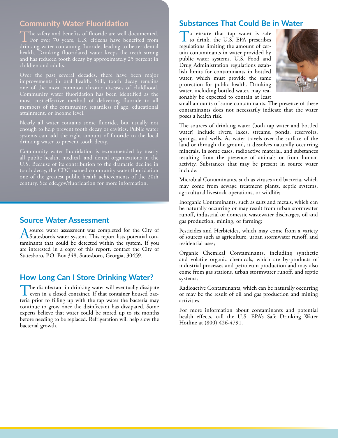## **Community Water Fluoridation**

The safety and benefits of fluoride are well documented.<br>For over 70 years, U.S. citizens have benefited from drinking water containing fluoride, leading to better dental health. Drinking fluoridated water keeps the teeth strong and has reduced tooth decay by approximately 25 percent in children and adults.

improvements in oral health. Still, tooth decay remains one of the most common chronic diseases of childhood. Community water fluoridation has been identified as the most cost-effective method of delivering fluoride to all members of the community, regardless of age, educational attainment, or income level.

enough to help prevent tooth decay or cavities. Public water systems can add the right amount of fluoride to the local drinking water to prevent tooth decay.

Community water fluoridation is recommended by nearly all public health, medical, and dental organizations in the U.S. Because of its contribution to the dramatic decline in tooth decay, the CDC named community water fluoridation one of the greatest public health achievements of the 20th century. See [cdc.gov/fluoridation](http://cdc.gov/fluoridation) for more information.

## **Source Water Assessment**

A source water assessment was completed for the City of Statesboro's water system. This report lists potential contaminants that could be detected within the system. If you are interested in a copy of this report, contact the City of Statesboro, P.O. Box 348, Statesboro, Georgia, 30459.

# **How Long Can I Store Drinking Water?**

The disinfectant in drinking water will eventually dissipate even in a closed container. If that container housed bacteria prior to filling up with the tap water the bacteria may continue to grow once the disinfectant has dissipated. Some experts believe that water could be stored up to six months before needing to be replaced. Refrigeration will help slow the bacterial growth.

## **Substances That Could Be in Water**

To ensure that tap water is safe<br>to drink, the U.S. EPA prescribes<br>resulting limiting the ensure of sor regulations limiting the amount of certain contaminants in water provided by public water systems. U.S. Food and Drug Administration regulations establish limits for contaminants in bottled water, which must provide the same protection for public health. Drinking water, including bottled water, may reasonably be expected to contain at least



small amounts of some contaminants. The presence of these contaminants does not necessarily indicate that the water poses a health risk.

The sources of drinking water (both tap water and bottled water) include rivers, lakes, streams, ponds, reservoirs, springs, and wells. As water travels over the surface of the land or through the ground, it dissolves naturally occurring minerals, in some cases, radioactive material, and substances resulting from the presence of animals or from human activity. Substances that may be present in source water include:

Microbial Contaminants, such as viruses and bacteria, which may come from sewage treatment plants, septic systems, agricultural livestock operations, or wildlife;

Inorganic Contaminants, such as salts and metals, which can be naturally occurring or may result from urban stormwater runoff, industrial or domestic wastewater discharges, oil and gas production, mining, or farming;

Pesticides and Herbicides, which may come from a variety of sources such as agriculture, urban stormwater runoff, and residential uses;

Organic Chemical Contaminants, including synthetic and volatile organic chemicals, which are by-products of industrial processes and petroleum production and may also come from gas stations, urban stormwater runoff, and septic systems;

Radioactive Contaminants, which can be naturally occurring or may be the result of oil and gas production and mining activities.

For more information about contaminants and potential health effects, call the U.S. EPA's Safe Drinking Water Hotline at (800) 426-4791.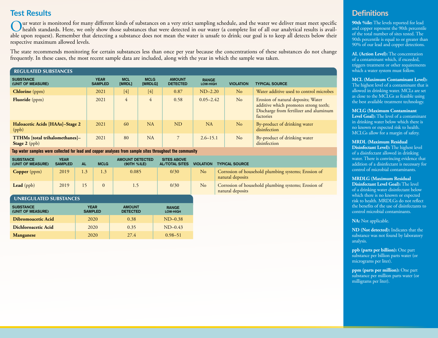# **Test Results**

Our water is monitored for many different kinds of substances on a very strict sampling schedule, and the water we deliver must meet specific<br>health standards. Here, we only show those substances that were detected in our able upon request). Remember that detecting a substance does not mean the water is unsafe to drink; our goal is to keep all detects below their respective maximum allowed levels.

The state recommends monitoring for certain substances less than once per year because the concentrations of these substances do not change frequently. In these cases, the most recent sample data are included, along with the year in which the sample was taken.

| <b>REGULATED SUBSTANCES</b>                     |                               |                             |                               |                                  |                                 |                  |                                                                                                                                    |
|-------------------------------------------------|-------------------------------|-----------------------------|-------------------------------|----------------------------------|---------------------------------|------------------|------------------------------------------------------------------------------------------------------------------------------------|
| <b>SUBSTANCE</b><br>(UNIT OF MEASURE)           | <b>YEAR</b><br><b>SAMPLED</b> | <b>MCL</b><br><b>IMRDL1</b> | <b>MCLG</b><br><b>IMRDLG1</b> | <b>AMOUNT</b><br><b>DETECTED</b> | <b>RANGE</b><br><b>LOW-HIGH</b> | <b>VIOLATION</b> | <b>TYPICAL SOURCE</b>                                                                                                              |
| <b>Chlorine</b> (ppm)                           | 2021                          | $[4]$                       | $[4]$                         | 0.87                             | $ND-2.20$                       | No               | Water additive used to control microbes                                                                                            |
| <b>Fluoride</b> (ppm)                           | 2021                          | $\overline{4}$              | $\overline{4}$                | 0.58                             | $0.05 - 2.42$                   | No               | Erosion of natural deposits; Water<br>additive which promotes strong teeth;<br>Discharge from fertilizer and aluminum<br>factories |
| Haloacetic Acids [HAAs]-Stage 2<br>(ppb)        | 2021                          | 60                          | NA                            | <b>ND</b>                        | NA                              | No               | By-product of drinking water<br>disinfection                                                                                       |
| TTHMs [total trihalomethanes]-<br>Stage 2 (ppb) | 2021                          | 80                          | NA                            | $7^{\circ}$                      | $2.6 - 15.1$                    | No               | By-product of drinking water<br>disinfection                                                                                       |

**Tap water samples were collected for lead and copper analyses from sample sites throughout the community**

| <b>SUBSTANCE</b><br>(UNIT OF MEASURE) | YEAR<br><b>SAMPLED</b> | AL  | <b>MCLG</b> | <b>AMOUNT DETECTED</b><br>(90TH %ILE) | <b>SITES ABOVE</b><br><b>AL/TOTAL SITES</b> | <b>VIOLATION</b> | <b>TYPICAL SOURCE</b>                                                   |
|---------------------------------------|------------------------|-----|-------------|---------------------------------------|---------------------------------------------|------------------|-------------------------------------------------------------------------|
| <b>Copper</b> ( $ppm$ )               | 2019                   | 1.3 |             | 0.085                                 | 0/30                                        | No               | Corrosion of household plumbing systems; Erosion of<br>natural deposits |
| Lead $(ppb)$                          | 2019                   |     | $\Omega$    |                                       | 0/30                                        | N <sub>o</sub>   | Corrosion of household plumbing systems; Erosion of<br>natural deposits |

### UNREGULATED SUBSTANCES

| <b>SUBSTANCE</b><br>(UNIT OF MEASURE) | <b>YEAR</b><br><b>SAMPLED</b> | <b>AMOUNT</b><br><b>DETECTED</b> | <b>RANGE</b><br><b>LOW-HIGH</b> |
|---------------------------------------|-------------------------------|----------------------------------|---------------------------------|
| Dibromoacetic Acid                    | 2020                          | 0.38                             | $ND-0.38$                       |
| Dichloroacetic Acid                   | 2020                          | 0.35                             | $ND-0.43$                       |
| <b>Manganese</b>                      | 2020                          | 27.4                             | $0.98 - 51$                     |

# **Definitions**

**90th %ile:** The levels reported for lead and copper represent the 90th percentile of the total number of sites tested. The 90th percentile is equal to or greater than 90% of our lead and copper detections.

**AL (Action Level):** The concentration of a contaminant which, if exceeded, triggers treatment or other requirements which a water system must follow.

#### **MCL (Maximum Contaminant Level):**

The highest level of a contaminant that is allowed in drinking water. MCLs are set as close to the MCLGs as feasible using the best available treatment technology.

#### **MCLG (Maximum Contaminant**

**Level Goal):** The level of a contaminant in drinking water below which there is no known or expected risk to health. MCLGs allow for a margin of safety.

#### **MRDL (Maximum Residual**

**Disinfectant Level):** The highest level of a disinfectant allowed in drinking water. There is convincing evidence that addition of a disinfectant is necessary for control of microbial contaminants.

#### **MRDLG (Maximum Residual**

**Disinfectant Level Goal):** The level of a drinking water disinfectant below which there is no known or expected risk to health. MRDLGs do not reflect the benefits of the use of disinfectants to control microbial contaminants.

#### **NA:** Not applicable.

**ND (Not detected):** Indicates that the substance was not found by laboratory analysis.

**ppb (parts per billion):** One part substance per billion parts water (or micrograms per liter).

**ppm (parts per million):** One part substance per million parts water (or milligrams per liter).